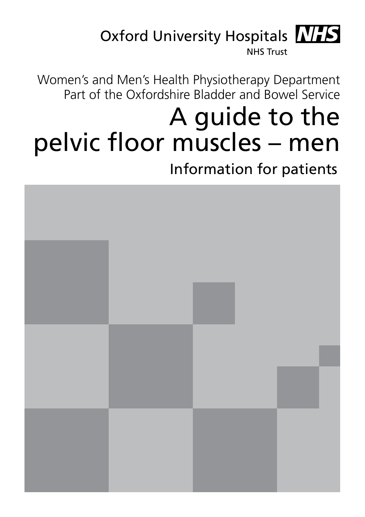

Women's and Men's Health Physiotherapy Department Part of the Oxfordshire Bladder and Bowel Service

# A guide to the pelvic floor muscles – men

Information for patients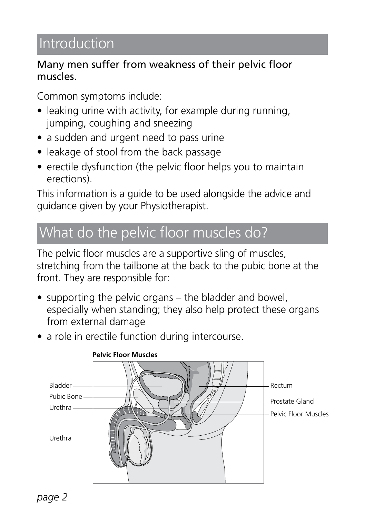# Introduction

#### Many men suffer from weakness of their pelvic floor muscles.

Common symptoms include:

- leaking urine with activity, for example during running, jumping, coughing and sneezing
- a sudden and urgent need to pass urine
- leakage of stool from the back passage
- erectile dysfunction (the pelvic floor helps you to maintain erections).

This information is a guide to be used alongside the advice and guidance given by your Physiotherapist.

## What do the pelvic floor muscles do?

The pelvic floor muscles are a supportive sling of muscles, stretching from the tailbone at the back to the pubic bone at the front. They are responsible for:

- supporting the pelvic organs the bladder and bowel, especially when standing; they also help protect these organs from external damage
- a role in erectile function during intercourse.

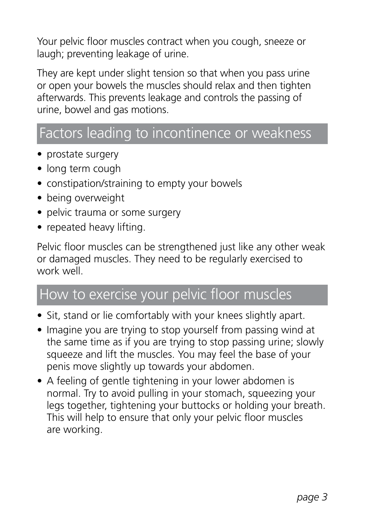Your pelvic floor muscles contract when you cough, sneeze or laugh; preventing leakage of urine.

They are kept under slight tension so that when you pass urine or open your bowels the muscles should relax and then tighten afterwards. This prevents leakage and controls the passing of urine, bowel and gas motions.

### Factors leading to incontinence or weakness

- prostate surgery
- long term cough
- constipation/straining to empty your bowels
- being overweight
- pelvic trauma or some surgery
- repeated heavy lifting.

Pelvic floor muscles can be strengthened just like any other weak or damaged muscles. They need to be regularly exercised to work well.

### How to exercise your pelvic floor muscles

- Sit, stand or lie comfortably with your knees slightly apart.
- Imagine you are trying to stop yourself from passing wind at the same time as if you are trying to stop passing urine; slowly squeeze and lift the muscles. You may feel the base of your penis move slightly up towards your abdomen.
- A feeling of gentle tightening in your lower abdomen is normal. Try to avoid pulling in your stomach, squeezing your legs together, tightening your buttocks or holding your breath. This will help to ensure that only your pelvic floor muscles are working.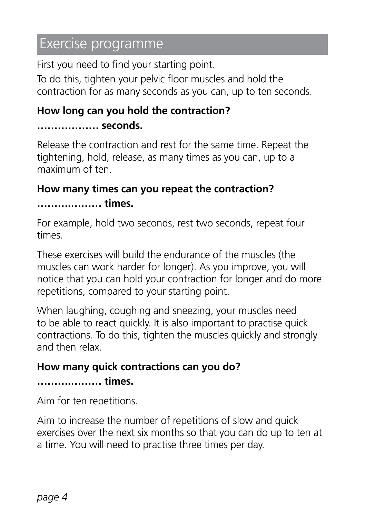### Exercise programme

First you need to find your starting point.

To do this, tighten your pelvic floor muscles and hold the contraction for as many seconds as you can, up to ten seconds.

#### **How long can you hold the contraction? ……………… seconds.**

Release the contraction and rest for the same time. Repeat the tightening, hold, release, as many times as you can, up to a maximum of ten.

# **How many times can you repeat the contraction?**

**……….……… times.**

For example, hold two seconds, rest two seconds, repeat four times.

These exercises will build the endurance of the muscles (the muscles can work harder for longer). As you improve, you will notice that you can hold your contraction for longer and do more repetitions, compared to your starting point.

When laughing, coughing and sneezing, your muscles need to be able to react quickly. It is also important to practise quick contractions. To do this, tighten the muscles quickly and strongly and then relax.

### **How many quick contractions can you do? ……….……… times.**

Aim for ten repetitions.

Aim to increase the number of repetitions of slow and quick exercises over the next six months so that you can do up to ten at a time. You will need to practise three times per day.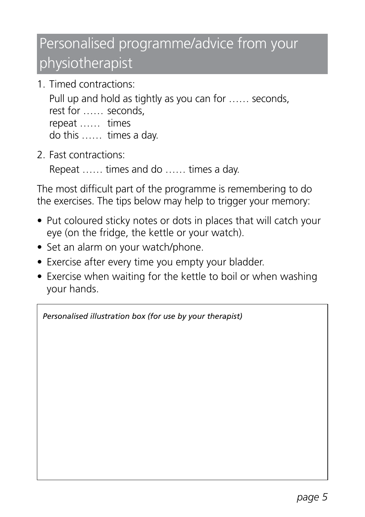# Personalised programme/advice from your physiotherapist

1. Timed contractions:

 Pull up and hold as tightly as you can for …… seconds, rest for …… seconds, repeat …… times do this …… times a day.

2. Fast contractions:

Repeat …… times and do …… times a day.

The most difficult part of the programme is remembering to do the exercises. The tips below may help to trigger your memory:

- Put coloured sticky notes or dots in places that will catch your eye (on the fridge, the kettle or your watch).
- Set an alarm on your watch/phone.
- Exercise after every time you empty your bladder.
- Exercise when waiting for the kettle to boil or when washing your hands.

*Personalised illustration box (for use by your therapist)*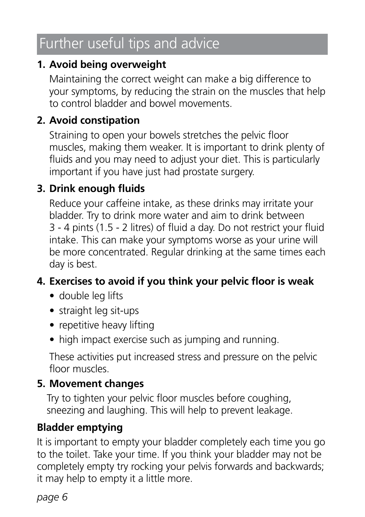# Further useful tips and advice

### **1. Avoid being overweight**

 Maintaining the correct weight can make a big difference to your symptoms, by reducing the strain on the muscles that help to control bladder and bowel movements.

### **2. Avoid constipation**

 Straining to open your bowels stretches the pelvic floor muscles, making them weaker. It is important to drink plenty of fluids and you may need to adjust your diet. This is particularly important if you have just had prostate surgery.

### **3. Drink enough fluids**

 Reduce your caffeine intake, as these drinks may irritate your bladder. Try to drink more water and aim to drink between 3 - 4 pints (1.5 - 2 litres) of fluid a day. Do not restrict your fluid intake. This can make your symptoms worse as your urine will be more concentrated. Regular drinking at the same times each day is best.

### **4. Exercises to avoid if you think your pelvic floor is weak**

- double leg lifts
- straight leg sit-ups
- repetitive heavy lifting
- high impact exercise such as jumping and running.

 These activities put increased stress and pressure on the pelvic floor muscles.

#### **5. Movement changes**

 Try to tighten your pelvic floor muscles before coughing, sneezing and laughing. This will help to prevent leakage.

### **Bladder emptying**

It is important to empty your bladder completely each time you go to the toilet. Take your time. If you think your bladder may not be completely empty try rocking your pelvis forwards and backwards; it may help to empty it a little more.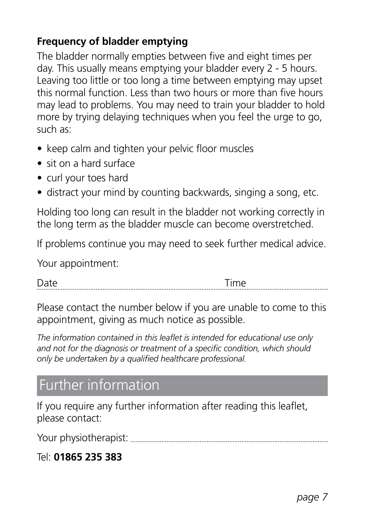### **Frequency of bladder emptying**

The bladder normally empties between five and eight times per day. This usually means emptying your bladder every 2 - 5 hours. Leaving too little or too long a time between emptying may upset this normal function. Less than two hours or more than five hours may lead to problems. You may need to train your bladder to hold more by trying delaying techniques when you feel the urge to go, such as:

- keep calm and tighten your pelvic floor muscles
- sit on a hard surface
- curl your toes hard
- distract your mind by counting backwards, singing a song, etc.

Holding too long can result in the bladder not working correctly in the long term as the bladder muscle can become overstretched.

If problems continue you may need to seek further medical advice.

Your appointment:

Date **Date Time** 

Please contact the number below if you are unable to come to this appointment, giving as much notice as possible.

*The information contained in this leaflet is intended for educational use only and not for the diagnosis or treatment of a specific condition, which should only be undertaken by a qualified healthcare professional.*

### Further information

If you require any further information after reading this leaflet, please contact:

Your physiotherapist:

#### Tel: **01865 235 383**